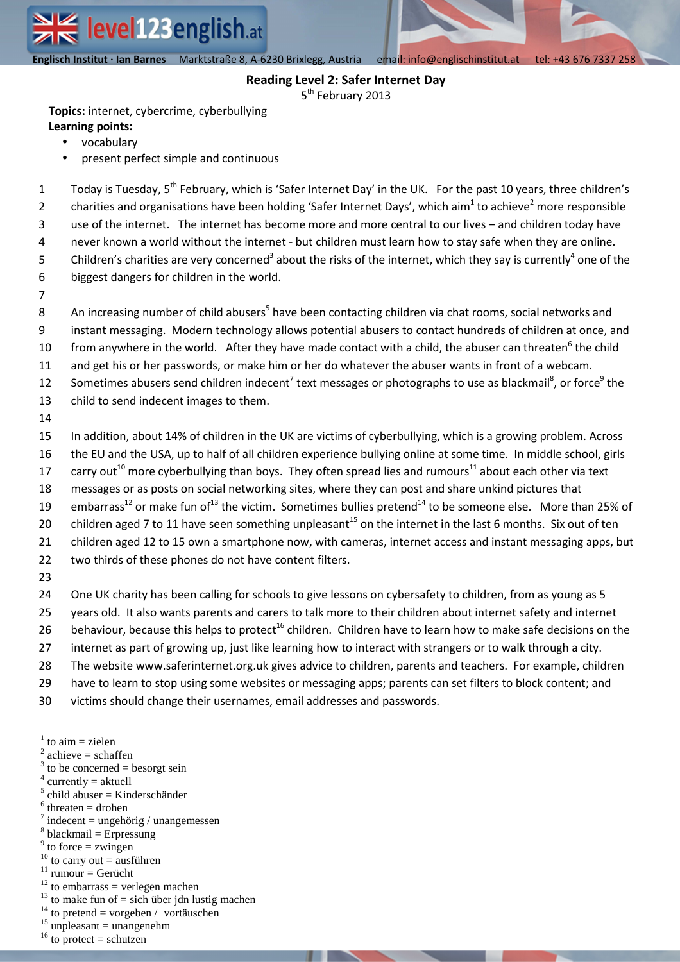**Englisch Institut · Ian Barnes** Marktstraße 8, A-6230 Brixlegg email| info@englischinstitut.at tel |+43 676 7337 258  **Englisch Institut · Ian Barnes** Marktstraße 8, A-6230 Brixlegg, Austria email: info@englischinstitut.at tel: +43 676 7337 258

## **Reading Level 2: Safer Internet Day**

5<sup>th</sup> February 2013

**Topics:** internet, cybercrime, cyberbullying **Learning points:**

- vocabulary
- present perfect simple and continuous

Today is Tuesday, 5<sup>th</sup> February, which is 'Safer Internet Day' in the UK. For the past 10 years, three children's charities and organisations have been holding 'Safer Internet Days', which aim<sup>1</sup> to achieve<sup>2</sup> more responsible use of the internet. The internet has become more and more central to our lives – and children today have never known a world without the internet - but children must learn how to stay safe when they are online. Children's charities are very concerned<sup>3</sup> about the risks of the internet, which they say is currently<sup>4</sup> one of the biggest dangers for children in the world.

6 7 8

9

10 11 12 13 An increasing number of child abusers<sup>5</sup> have been contacting children via chat rooms, social networks and instant messaging. Modern technology allows potential abusers to contact hundreds of children at once, and from anywhere in the world. After they have made contact with a child, the abuser can threaten<sup>6</sup> the child and get his or her passwords, or make him or her do whatever the abuser wants in front of a webcam. Sometimes abusers send children indecent<sup>7</sup> text messages or photographs to use as blackmail<sup>8</sup>, or force<sup>9</sup> the child to send indecent images to them.

14

15 In addition, about 14% of children in the UK are victims of cyberbullying, which is a growing problem. Across

- 16 the EU and the USA, up to half of all children experience bullying online at some time. In middle school, girls
- 17 carry out<sup>10</sup> more cyberbullying than boys. They often spread lies and rumours<sup>11</sup> about each other via text
- 18 messages or as posts on social networking sites, where they can post and share unkind pictures that
- 19 embarrass<sup>12</sup> or make fun of<sup>13</sup> the victim. Sometimes bullies pretend<sup>14</sup> to be someone else. More than 25% of
- 20 children aged 7 to 11 have seen something unpleasant<sup>15</sup> on the internet in the last 6 months. Six out of ten
- 21 children aged 12 to 15 own a smartphone now, with cameras, internet access and instant messaging apps, but
- 22 two thirds of these phones do not have content filters.
- 23
- 24 One UK charity has been calling for schools to give lessons on cybersafety to children, from as young as 5
- 25 years old. It also wants parents and carers to talk more to their children about internet safety and internet
- 26 behaviour, because this helps to protect<sup>16</sup> children. Children have to learn how to make safe decisions on the
- 27 internet as part of growing up, just like learning how to interact with strangers or to walk through a city.
- 28 The website www.saferinternet.org.uk gives advice to children, parents and teachers. For example, children
- 29 have to learn to stop using some websites or messaging apps; parents can set filters to block content; and
- 30 victims should change their usernames, email addresses and passwords.

- $3$  to be concerned = besorgt sein
- $4$  currently = aktuell
- $<sup>5</sup>$  child abuser = Kinderschänder</sup>
- $6$  threaten = drohen
- $\frac{7}{7}$  indecent = ungehörig / unangemessen
- $8$  blackmail = Erpressung
- $9$  to force = zwingen
- $10$  to carry out = ausführen  $11$  rumour = Gerücht
- $12$  to embarrass = verlegen machen
- $13$  to make fun of = sich über jdn lustig machen
- $14$  to pretend = vorgeben / vortäuschen
- $15$  unpleasant = unangenehm
- $16$  to protect = schutzen

 $\overline{a}$  $1$  to aim = zielen

 $2$  achieve = schaffen